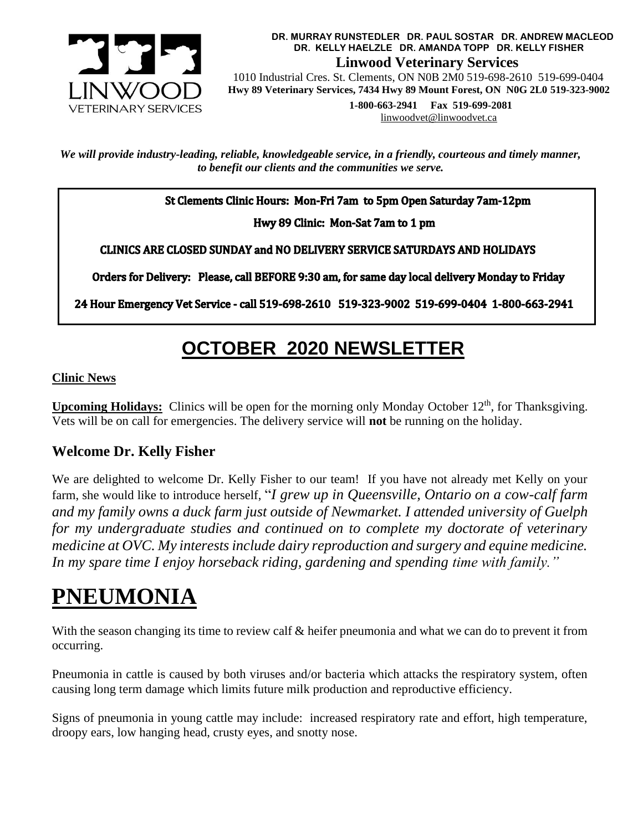

**DR. MURRAY RUNSTEDLER DR. PAUL SOSTAR DR. ANDREW MACLEOD DR. KELLY HAELZLE DR. AMANDA TOPP DR. KELLY FISHER Linwood Veterinary Services**

 1010 Industrial Cres. St. Clements, ON N0B 2M0 519-698-2610 519-699-0404  **Hwy 89 Veterinary Services, 7434 Hwy 89 Mount Forest, ON N0G 2L0 519-323-9002**

> **1-800-663-2941 Fax 519-699-2081** [linwoodvet@linwoodvet.ca](mailto:linwoodvet@linwoodvet.ca)

*We will provide industry-leading, reliable, knowledgeable service, in a friendly, courteous and timely manner, to benefit our clients and the communities we serve.*

St Clements Clinic Hours: Mon-Fri 7am to 5pm Open Saturday 7am-12pm

Hwy 89 Clinic: Mon-Sat 7am to 1 pm

**CLINICS ARE CLOSED SUNDAY and NO DELIVERY SERVICE SATURDAYS AND HOLIDAYS** 

Orders for Delivery: Please, call BEFORE 9:30 am, for same day local delivery Monday to Friday

24 Hour Emergency Vet Service - call 519-698-2610 519-323-9002 519-699-0404 1-800-663-2941

# **OCTOBER 2020 NEWSLETTER**

### **Clinic News**

Upcoming Holidays: Clinics will be open for the morning only Monday October 12<sup>th</sup>, for Thanksgiving. Vets will be on call for emergencies. The delivery service will **not** be running on the holiday.

## **Welcome Dr. Kelly Fisher**

We are delighted to welcome Dr. Kelly Fisher to our team! If you have not already met Kelly on your farm, she would like to introduce herself, "*I grew up in Queensville, Ontario on a cow-calf farm and my family owns a duck farm just outside of Newmarket. I attended university of Guelph for my undergraduate studies and continued on to complete my doctorate of veterinary medicine at OVC. My interests include dairy reproduction and surgery and equine medicine. In my spare time I enjoy horseback riding, gardening and spending time with family."*

# **PNEUMONIA**

With the season changing its time to review calf & heifer pneumonia and what we can do to prevent it from occurring.

Pneumonia in cattle is caused by both viruses and/or bacteria which attacks the respiratory system, often causing long term damage which limits future milk production and reproductive efficiency.

Signs of pneumonia in young cattle may include: increased respiratory rate and effort, high temperature, droopy ears, low hanging head, crusty eyes, and snotty nose.